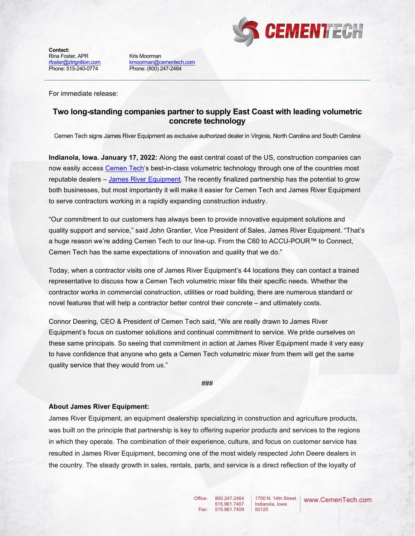

**Contact:**  Rina Foster, APR [rfoster@zlrignition.com](mailto:jlown@zlrignition.com) Phone: 515-240-0774

Kris Moorman [kmoorman@cementech.com](mailto:kmoorman@cementech.com) Phone: (800) 247-2464

For immediate release:

## **Two long-standing companies partner to supply East Coast with leading volumetric concrete technology**

Cemen Tech signs James River Equipment as exclusive authorized dealer in Virginia, North Carolina and South Carolina

**Indianola, Iowa. January 17, 2022:** Along the east central coast of the US, construction companies can now easily access [Cemen Tech's](http://cementech.com/) best-in-class volumetric technology through one of the countries most reputable dealers – [James River Equipment.](https://www.jamesriverequipment.com/) The recently finalized partnership has the potential to grow both businesses, but most importantly it will make it easier for Cemen Tech and James River Equipment to serve contractors working in a rapidly expanding construction industry.

"Our commitment to our customers has always been to provide innovative equipment solutions and quality support and service," said John Grantier, Vice President of Sales, James River Equipment. "That's a huge reason we're adding Cemen Tech to our line-up. From the C60 to ACCU-POUR™ to Connect, Cemen Tech has the same expectations of innovation and quality that we do."

Today, when a contractor visits one of James River Equipment's 44 locations they can contact a trained representative to discuss how a Cemen Tech volumetric mixer fills their specific needs. Whether the contractor works in commercial construction, utilities or road building, there are numerous standard or novel features that will help a contractor better control their concrete – and ultimately costs.

Connor Deering, CEO & President of Cemen Tech said, "We are really drawn to James River Equipment's focus on customer solutions and continual commitment to service. We pride ourselves on these same principals. So seeing that commitment in action at James River Equipment made it very easy to have confidence that anyone who gets a Cemen Tech volumetric mixer from them will get the same quality service that they would from us."

## ###

## **About James River Equipment:**

James River Equipment, an equipment dealership specializing in construction and agriculture products, was built on the principle that partnership is key to offering superior products and services to the regions in which they operate. The combination of their experience, culture, and focus on customer service has resulted in James River Equipment, becoming one of the most widely respected John Deere dealers in the country. The steady growth in sales, rentals, parts, and service is a direct reflection of the loyalty of

> Office: Fax:

800.247.2464 515.961.7407 515.961.7409 1700 N. 14th Street Indianola, Iowa 50125

www.CemenTech.com